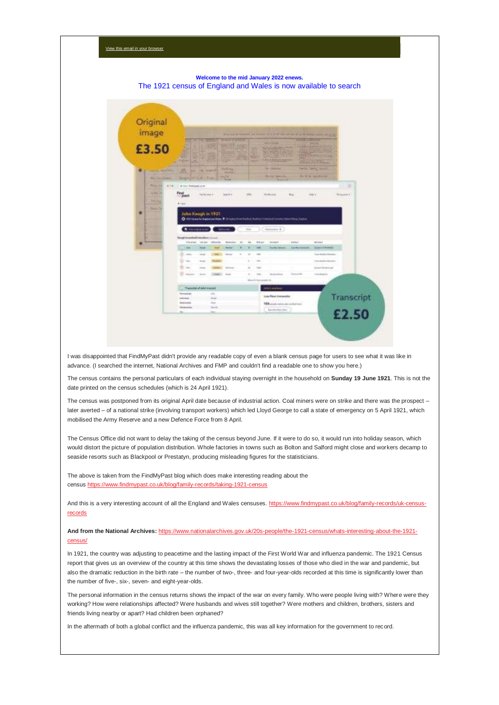## **Welcome to the mid January 2022 enews.** The 1921 census of England and Wales is now available to search

| image                     |                                                                     |                                |                               |                         |              |                                                                                                         |                                                                                                                  | For ad & waters at Notice type were on the Ward from which any of |                                    |                 |
|---------------------------|---------------------------------------------------------------------|--------------------------------|-------------------------------|-------------------------|--------------|---------------------------------------------------------------------------------------------------------|------------------------------------------------------------------------------------------------------------------|-------------------------------------------------------------------|------------------------------------|-----------------|
| £3.50                     |                                                                     |                                |                               | <b>STATISTICS</b><br>23 |              |                                                                                                         | <b>STATISTICS</b>                                                                                                | <u>and the same</u>                                               | ــــ<br><b>Children</b>            |                 |
|                           | <b>Party In</b>                                                     | ×                              |                               |                         |              | <b>Farmer</b>                                                                                           | $\overline{ }$<br>₩<br><b>The Second Pro</b>                                                                     |                                                                   | <b>STEPANIA</b><br><b>START OF</b> |                 |
| ۰<br><b>Party Service</b> | 祸                                                                   | <b>IN CLEANING</b>             |                               | $-1$                    |              |                                                                                                         | in passed.                                                                                                       |                                                                   | Tracks, Sandy Scott                |                 |
| <b>Para Providence</b>    | Security (PLN) 8.                                                   |                                | <b>Strait</b>                 | 3646<br>mo              |              |                                                                                                         | <b>Stretch Americans</b><br><b>Concert Mill</b>                                                                  |                                                                   | <b>Bill R. A. Anadomic</b>         |                 |
| Pulse 34<br><b>HIGH</b>   |                                                                     | Wilso, Renealtons              |                               |                         |              |                                                                                                         |                                                                                                                  |                                                                   |                                    | ⋿               |
| <b>INSIDE</b>             | Find                                                                |                                |                               |                         |              |                                                                                                         |                                                                                                                  |                                                                   |                                    |                 |
|                           | $\sim$ post                                                         | There died in                  |                               | pack 4                  |              | TRA                                                                                                     | McNecwal                                                                                                         | Map 1                                                             | Add 4                              | The physical AL |
|                           |                                                                     |                                |                               |                         |              |                                                                                                         |                                                                                                                  |                                                                   |                                    |                 |
| <b>Sainted</b>            |                                                                     |                                |                               |                         |              |                                                                                                         |                                                                                                                  |                                                                   |                                    |                 |
|                           | <b>Bulletin</b>                                                     |                                |                               |                         |              |                                                                                                         |                                                                                                                  |                                                                   |                                    |                 |
| <b>Search</b><br>۰        |                                                                     |                                |                               |                         |              |                                                                                                         |                                                                                                                  |                                                                   |                                    |                 |
|                           |                                                                     | John Keagh in 1921             |                               |                         |              |                                                                                                         | Christianus be Superfield Water W. Drivewell transferênces Superior Systems in the Detection Christine Christian |                                                                   |                                    |                 |
|                           |                                                                     |                                |                               |                         |              |                                                                                                         |                                                                                                                  |                                                                   |                                    |                 |
|                           |                                                                     | A Very contractor              |                               | <b>Chairman</b>         |              | <b>This</b>                                                                                             | Heatastern W                                                                                                     |                                                                   |                                    |                 |
|                           |                                                                     |                                |                               |                         |              |                                                                                                         |                                                                                                                  |                                                                   |                                    |                 |
|                           | <b>Bang's Formshold HeartBand Rooms</b><br><b>Salesman</b>          | <b>COLLEGE</b>                 |                               | <b>Building</b>         |              | <b>British</b>                                                                                          | <b>Income</b>                                                                                                    | <b>DOM:</b>                                                       | <b>British</b>                     |                 |
|                           | $\overline{\phantom{a}}$                                            | <b>Inter</b>                   |                               | <b>Partial</b>          |              | m<br>1984                                                                                               | <b>Therefor Hillman</b>                                                                                          | <b>Jour Plan Encounty</b>                                         | Summitted and Controller           |                 |
|                           | $\frac{1}{2} \left( \frac{1}{2} \right) \left( \frac{1}{2} \right)$ | <b>Send</b>                    | <b>START</b>                  | <b>State</b>            | $\mathbb{R}$ | $\overline{\phantom{a}}$<br>$-$                                                                         |                                                                                                                  |                                                                   | Sale-Bricken Republic              |                 |
|                           |                                                                     | <b>House</b>                   |                               |                         |              | $-$                                                                                                     |                                                                                                                  |                                                                   |                                    |                 |
|                           | The Corp.<br>٠                                                      |                                |                               |                         |              | $\sim$                                                                                                  |                                                                                                                  |                                                                   | <b>Industrial Address</b><br>Prim  |                 |
|                           | $\Xi$ as                                                            | -                              |                               | <b>STANDARD</b>         |              | $+1$<br><b>COLOR</b>                                                                                    |                                                                                                                  |                                                                   | <b>Instantial Edition</b>          |                 |
|                           | <b>The company</b>                                                  | The Corp.                      | <b>COMPANY</b>                | <b>Died</b>             |              | $\frac{1}{2} \left( \frac{1}{2} \right) \left( \frac{1}{2} \right) \left( \frac{1}{2} \right)$<br>time. | <b>Hardware</b>                                                                                                  | <b>Security</b>                                                   | 104204401                          |                 |
|                           |                                                                     |                                |                               |                         |              | Dive Inning years in                                                                                    |                                                                                                                  |                                                                   |                                    |                 |
|                           |                                                                     | - Television of Adults and ad- |                               |                         |              |                                                                                                         | <b>Incorporation</b>                                                                                             |                                                                   |                                    |                 |
|                           | <b>Romanute</b>                                                     |                                | $\rightarrow$                 |                         |              |                                                                                                         |                                                                                                                  |                                                                   |                                    |                 |
|                           | Luciani.                                                            |                                | the age                       |                         |              |                                                                                                         | Line Wear Insneroller                                                                                            |                                                                   |                                    | Transcript      |
|                           | <b>Insertial</b><br><b><i><u>Talentown</u></i></b>                  |                                | $\rightarrow$<br><b>Sales</b> |                         |              |                                                                                                         | 104 August control and writer here.                                                                              |                                                                   |                                    |                 |

I was disappointed that FindMyPast didn't provide any readable copy of even a blank census page for users to see what it was like in advance. (I searched the internet, National Archives and FMP and couldn't find a readable one to show you here.)

The census contains the personal particulars of each individual staying overnight in the household on **Sunday 19 June 1921**. This is not the date printed on the census schedules (which is 24 April 1921).

The census was postponed from its original April date because of industrial action. Coal miners were on strike and there was the prospect – later averted – of a national strike (involving transport workers) which led Lloyd George to call a state of emergency on 5 April 1921, which mobilised the Army Reserve and a new Defence Force from 8 April.

The Census Office did not want to delay the taking of the census beyond June. If it were to do so, it would run into holiday season, which would distort the picture of population distribution. Whole factories in towns such as Bolton and Salford might close and workers decamp to seaside resorts such as Blackpool or Prestatyn, producing misleading figures for the statisticians.

The above is taken from the FindMyPast blog which does make interesting reading about the census <https://www.findmypast.co.uk/blog/family-records/taking-1921-census>

And this is a very interesting account of all the England and Wales censuses. [https://www.findmypast.co.uk/blog/family-records/uk-census](https://www.findmypast.co.uk/blog/family-records/uk-census-records)[records](https://www.findmypast.co.uk/blog/family-records/uk-census-records)

**And from the National Archives:** [https://www.nationalarchives.gov.uk/20s-people/the-1921-census/whats-interesting-about-the-1921](https://www.nationalarchives.gov.uk/20s-people/the-1921-census/whats-interesting-about-the-1921-census/) [census/](https://www.nationalarchives.gov.uk/20s-people/the-1921-census/whats-interesting-about-the-1921-census/)

In 1921, the country was adjusting to peacetime and the lasting impact of the First World War and influenza pandemic. The 1921 Census report that gives us an overview of the country at this time shows the devastating losses of those who died in the war and pandemic, but also the dramatic reduction in the birth rate – the number of two-, three- and four-year-olds recorded at this time is significantly lower than the number of five-, six-, seven- and eight-year-olds.

The personal information in the census returns shows the impact of the war on every family. Who were people living with? Where were they working? How were relationships affected? Were husbands and wives still together? Were mothers and children, brothers, sisters and friends living nearby or apart? Had children been orphaned?

In the aftermath of both a global conflict and the influenza pandemic, this was all key information for the government to record.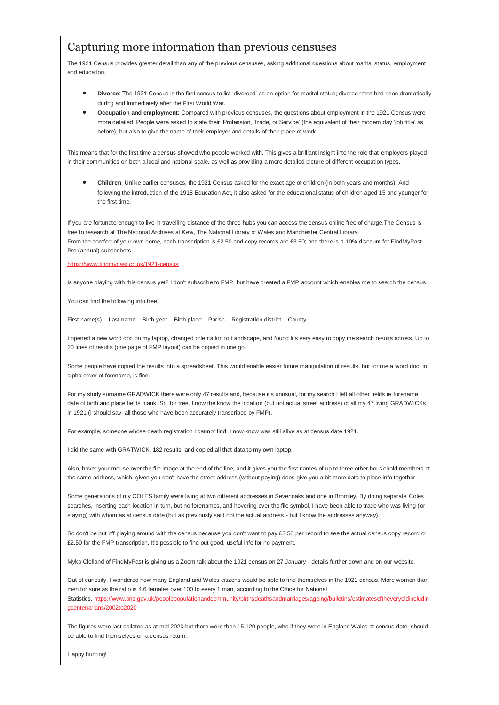# Capturing more information than previous censuses

The 1921 Census provides greater detail than any of the previous censuses, asking additional questions about marital status, employment and education.

- **Divorce**: The 1921 Census is the first census to list 'divorced' as an option for marital status; divorce rates had risen dramatically during and immediately after the First World War.
- **Occupation and employment**: Compared with previous censuses, the questions about employment in the 1921 Census were more detailed. People were asked to state their 'Profession, Trade, or Service' (the equivalent of their modern day 'job title' as before), but also to give the name of their employer and details of their place of work.

This means that for the first time a census showed who people worked with. This gives a brilliant insight into the role that employers played in their communities on both a local and national scale, as well as providing a more detailed picture of different occupation types.

 **Children**: Unlike earlier censuses, the 1921 Census asked for the exact age of children (in both years and months). And following the introduction of the 1918 Education Act, it also asked for the educational status of children aged 15 and younger for the first time.

If you are fortunate enough to live in travelling distance of the three hubs you can access the census online free of charge.The Census is free to research at The National Archives at Kew, The National Library of Wales and Manchester Central Library. From the comfort of your own home, each transcription is £2.50 and copy records are £3.50; and there is a 10% discount for FindMyPast Pro (annual) subscribers.

## [https://www.findmypast.co.uk/1921-census](https://www.findmypast.co.uk/1921-census?fbclid=IwAR12TpUHUUbK4u6JMRw6FU2uNdxvr-ASHwyOgsmULrEEuOoZKCBk7GWM_5U)

Is anyone playing with this census yet? I don't subscribe to FMP, but have created a FMP account which enables me to search the census.

You can find the following info free:

First name(s) Last name Birth year Birth place Parish Registration district County

I opened a new word doc on my laptop, changed orientation to Landscape, and found it's very easy to copy the search results across. Up to 20 lines of results (one page of FMP layout) can be copied in one go.

Some people have copied the results into a spreadsheet. This would enable easier future manipulation of results, but for me a word doc, in alpha order of forename, is fine.

For my study surname GRADWICK there were only 47 results and, because it's unusual, for my search I left all other fields ie forename, date of birth and place fields blank. So, for free, I now the know the location (but not actual street address) of all my 47 living GRADWICKs in 1921 (I should say, all those who have been accurately transcribed by FMP).

For example, someone whose death registration I cannot find, I now know was still alive as at census date 1921.

I did the same with GRATWICK, 182 results, and copied all that data to my own laptop.

Also, hover your mouse over the file image at the end of the line, and it gives you the first names of up to three other hous ehold members at the same address, which, given you don't have the street address (without paying) does give you a bit more data to piece info together.

Some generations of my COLES family were living at two different addresses in Sevenoaks and one in Bromley. By doing separate Coles searches, inserting each location in turn, but no forenames, and hovering over the file symbol, I have been able to trace who was living (or staying) with whom as at census date (but as previously said not the actual address - but I know the addresses anyway).

So don't be put off playing around with the census because you don't want to pay £3.50 per record to see the actual census copy record or £2.50 for the FMP transcription. It's possible to find out good, useful info for no payment.

Myko Clelland of FindMyPast is giving us a Zoom talk about the 1921 census on 27 January - details further down and on our website.

Out of curiosity, I wondered how many England and Wales citizens would be able to find themselves in the 1921 census. More women than men for sure as the ratio is 4.6 females over 100 to every 1 man, according to the Office for National Statistics. [https://www.ons.gov.uk/peoplepopulationandcommunity/birthsdeathsandmarriages/ageing/bulletins/estimatesoftheveryoldincludin](https://www.ons.gov.uk/peoplepopulationandcommunity/birthsdeathsandmarriages/ageing/bulletins/estimatesoftheveryoldincludingcentenarians/2002to2020) [gcentenarians/2002to2020](https://www.ons.gov.uk/peoplepopulationandcommunity/birthsdeathsandmarriages/ageing/bulletins/estimatesoftheveryoldincludingcentenarians/2002to2020)

The figures were last collated as at mid 2020 but there were then 15,120 people, who if they were in England Wales at census date, should be able to find themselves on a census return..

Happy hunting!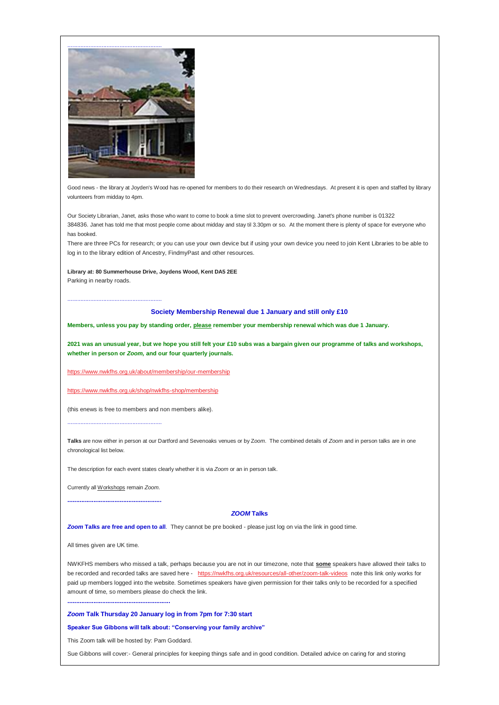

Good news - the library at Joyden's Wood has re-opened for members to do their research on Wednesdays. At present it is open and staffed by library volunteers from midday to 4pm.

Our Society Librarian, Janet, asks those who want to come to book a time slot to prevent overcrowding. Janet's phone number is 01322 384836. Janet has told me that most people come about midday and stay til 3.30pm or so. At the moment there is plenty of space for everyone who has booked.

There are three PCs for research; or you can use your own device but if using your own device you need to join Kent Libraries to be able to log in to the library edition of Ancestry, FindmyPast and other resources.

# **Library at: 80 Summerhouse Drive, Joydens Wood, Kent DA5 2EE**

Parking in nearby roads.

..........................................................

#### **Society Membership Renewal due 1 January and still only £10**

**Members, unless you pay by standing order, please remember your membership renewal which was due 1 January.**

**2021 was an unusual year, but we hope you still felt your £10 subs was a bargain given our programme of talks and workshops, whether in person or** *Zoom,* **and our four quarterly journals.**

<https://www.nwkfhs.org.uk/about/membership/our-membership>

<https://www.nwkfhs.org.uk/shop/nwkfhs-shop/membership>

(this enews is free to members and non members alike).

..........................................................

**Talks** are now either in person at our Dartford and Sevenoaks venues or by Z*oom*. The combined details of *Zoom* and in person talks are in one chronological list below.

The description for each event states clearly whether it is via *Zoom* or an in person talk.

Currently all Workshops remain *Zoom*. **......................................................**

#### *ZOOM* **Talks**

*Zoom* **Talks are free and open to all**. They cannot be pre booked - please just log on via the link in good time.

All times given are UK time.

NWKFHS members who missed a talk, perhaps because you are not in our timezone, note that **some** speakers have allowed their talks to be recorded and recorded talks are saved here - <https://nwkfhs.org.uk/resources/all-other/zoom-talk-videos> note this link only works for paid up members logged into the website. Sometimes speakers have given permission for their talks only to be recorded for a specified amount of time, so members please do check the link.

**...........................................................**

# *Zoom* **Talk Thursday 20 January log in from 7pm for 7:30 start**

**Speaker Sue Gibbons will talk about: "Conserving your family archive"**

This Zoom talk will be hosted by: Pam Goddard.

Sue Gibbons will cover:- General principles for keeping things safe and in good condition. Detailed advice on caring for and storing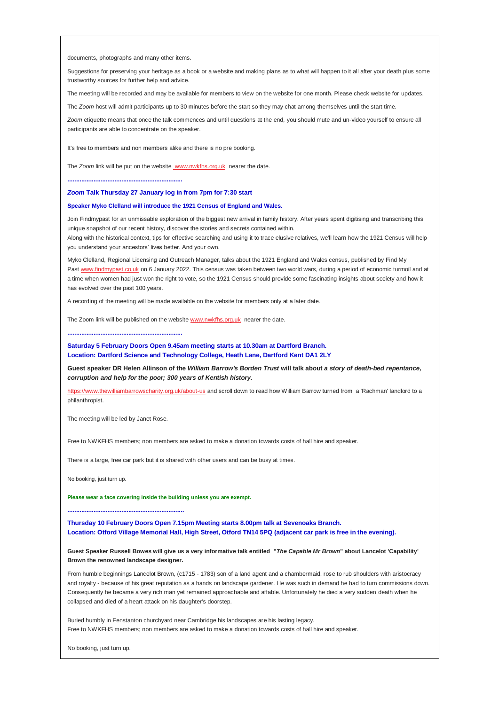documents, photographs and many other items.

Suggestions for preserving your heritage as a book or a website and making plans as to what will happen to it all after your death plus some trustworthy sources for further help and advice.

The meeting will be recorded and may be available for members to view on the website for one month. Please check website for updates.

The *Zoom* host will admit participants up to 30 minutes before the start so they may chat among themselves until the start time.

*Zoom* etiquette means that once the talk commences and until questions at the end, you should mute and un-video yourself to ensure all participants are able to concentrate on the speaker.

It's free to members and non members alike and there is no pre booking.

The *Zoom* link will be put on the website [www.nwkfhs.org.uk](http://www.nwkfhs.org.uk/) nearer the date.

**..................................................................**

#### *Zoom* **Talk Thursday 27 January log in from 7pm for 7:30 start**

#### **Speaker Myko Clelland will introduce the 1921 Census of England and Wales.**

Join Findmypast for an unmissable exploration of the biggest new arrival in family history. After years spent digitising and transcribing this unique snapshot of our recent history, discover the stories and secrets contained within.

Along with the historical context, tips for effective searching and using it to trace elusive relatives, we'll learn how the 1921 Census will help you understand your ancestors' lives better. And your own.

Myko Clelland, Regional Licensing and Outreach Manager, talks about the 1921 England and Wales census, published by Find My Past [www.findmypast.co.uk](http://www.findmypast.co.uk/) on 6 January 2022. This census was taken between two world wars, during a period of economic turmoil and at a time when women had just won the right to vote, so the 1921 Census should provide some fascinating insights about society and how it has evolved over the past 100 years.

A recording of the meeting will be made available on the website for members only at a later date.

The Zoom link will be published on the website [www.nwkfhs.org.uk](http://www.nwkfhs.org.uk/) nearer the date.

**..................................................................**

## **Saturday 5 February Doors Open 9.45am meeting starts at 10.30am at Dartford Branch. Location: Dartford Science and Technology College, Heath Lane, Dartford Kent DA1 2LY**

**Guest speaker DR Helen Allinson of the** *William Barrow's Borden Trust* **will talk about** *a story of death-bed repentance, corruption and help for the poor; 300 years of Kentish history.*

<https://www.thewilliambarrowscharity.org.uk/about-us> and scroll down to read how William Barrow turned from a 'Rachman' landlord to a philanthropist.

The meeting will be led by Janet Rose.

**...................................................................**

Free to NWKFHS members; non members are asked to make a donation towards costs of hall hire and speaker.

There is a large, free car park but it is shared with other users and can be busy at times.

No booking, just turn up.

**Please wear a face covering inside the building unless you are exempt.**

**Thursday 10 February Doors Open 7.15pm Meeting starts 8.00pm talk at Sevenoaks Branch. Location: Otford Village Memorial Hall, High Street, Otford TN14 5PQ (adjacent car park is free in the evening).**

### **Guest Speaker Russell Bowes will give us a very informative talk entitled "***The Capable Mr Brown***" about Lancelot 'Capability' Brown the renowned landscape designer.**

From humble beginnings Lancelot Brown, (c1715 - 1783) son of a land agent and a chambermaid, rose to rub shoulders with aristocracy and royalty - because of his great reputation as a hands on landscape gardener. He was such in demand he had to turn commissions down. Consequently he became a very rich man yet remained approachable and affable. Unfortunately he died a very sudden death when he collapsed and died of a heart attack on his daughter's doorstep.

Buried humbly in Fenstanton churchyard near Cambridge his landscapes are his lasting legacy. Free to NWKFHS members; non members are asked to make a donation towards costs of hall hire and speaker.

No booking, just turn up.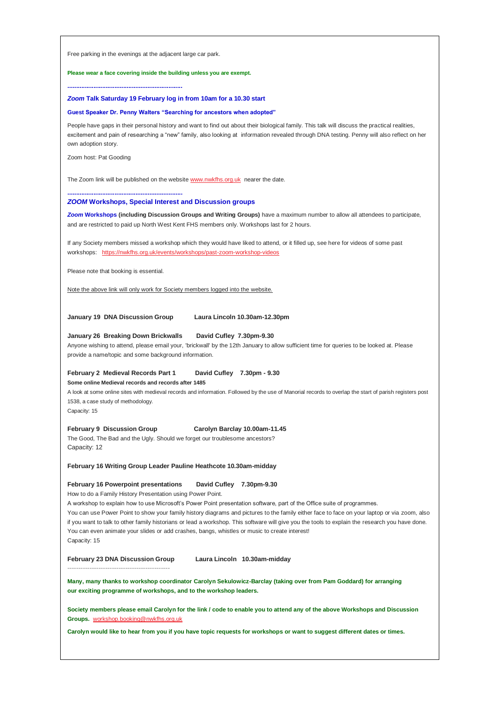Free parking in the evenings at the adjacent large car park.

#### **Please wear a face covering inside the building unless you are exempt.**

**..................................................................** *Zoom* **Talk Saturday 19 February log in from 10am for a 10.30 start**

# **Guest Speaker Dr. Penny Walters "Searching for ancestors when adopted"**

People have gaps in their personal history and want to find out about their biological family. This talk will discuss the practical realities, excitement and pain of researching a "new" family, also looking at information revealed through DNA testing. Penny will also reflect on her own adoption story.

Zoom host: Pat Gooding

The Zoom link will be published on the website [www.nwkfhs.org.uk](http://www.nwkfhs.org.uk/) nearer the date.

#### *ZOOM* **Workshops, Special Interest and Discussion groups**

*Zoom* **Workshops (including Discussion Groups and Writing Groups)** have a maximum number to allow all attendees to participate, and are restricted to paid up North West Kent FHS members only. Workshops last for 2 hours.

If any Society members missed a workshop which they would have liked to attend, or it filled up, see here for videos of some past workshops: <https://nwkfhs.org.uk/events/workshops/past-zoom-workshop-videos>

Please note that booking is essential.

**..................................................................**

Note the above link will only work for Society members logged into the website.

**January 19 DNA Discussion Group Laura Lincoln 10.30am-12.30pm**

## **January 26 Breaking Down Brickwalls David Cufley 7.30pm-9.30**

Anyone wishing to attend, please email your, 'brickwall' by the 12th January to allow sufficient time for queries to be looked at. Please provide a name/topic and some background information.

#### **February 2 Medieval Records Part 1 David Cufley 7.30pm - 9.30**

**Some online Medieval records and records after 1485**

A look at some online sites with medieval records and information. Followed by the use of Manorial records to overlap the start of parish registers post 1538, a case study of methodology.

Capacity: 15

#### **February 9 Discussion Group Carolyn Barclay 10.00am-11.45**

The Good, The Bad and the Ugly. Should we forget our troublesome ancestors? Capacity: 12

**February 16 Writing Group Leader Pauline Heathcote 10.30am-midday**

# **February 16 Powerpoint presentations David Cufley 7.30pm-9.30**

How to do a Family History Presentation using Power Point.

**----------------------------------------------**

A workshop to explain how to use Microsoft's Power Point presentation software, part of the Office suite of programmes. You can use Power Point to show your family history diagrams and pictures to the family either face to face on your laptop or via zoom, also if you want to talk to other family historians or lead a workshop. This software will give you the tools to explain the research you have done. You can even animate your slides or add crashes, bangs, whistles or music to create interest! Capacity: 15

**February 23 DNA Discussion Group Laura Lincoln 10.30am-midday**

**Many, many thanks to workshop coordinator Carolyn Sekulowicz-Barclay (taking over from Pam Goddard) for arranging our exciting programme of workshops, and to the workshop leaders.**

**Society members please email Carolyn for the link / code to enable you to attend any of the above Workshops and Discussion Groups.** [workshop.booking@nwkfhs.org.uk](mailto:workshop.booking@nwkfhs.org.uk?subject=NWKFHS%20Workshops)

**Carolyn would like to hear from you if you have topic requests for workshops or want to suggest different dates or times.**